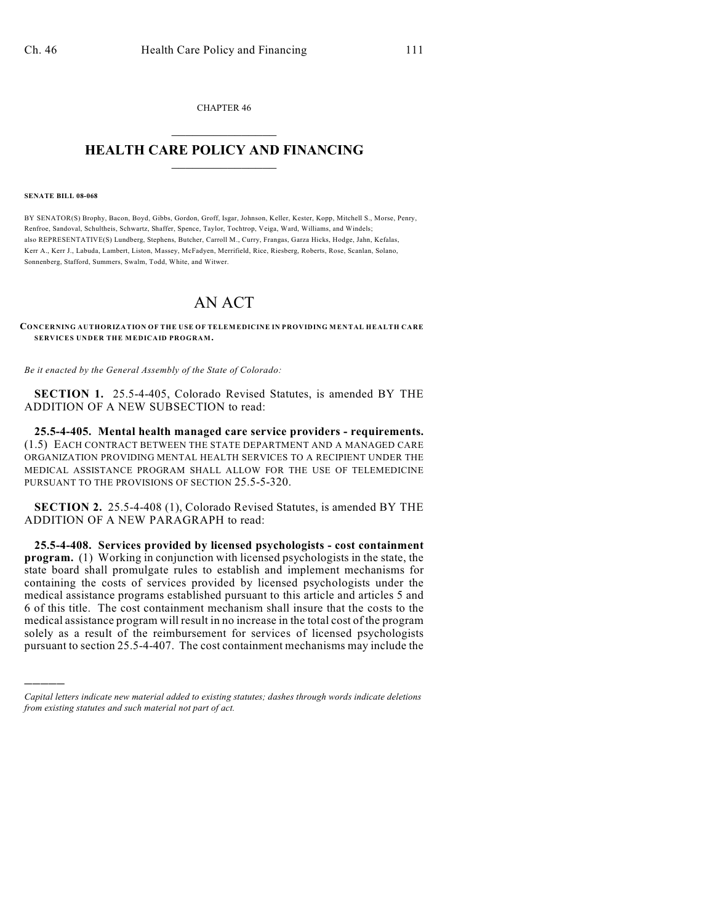CHAPTER 46  $\overline{\phantom{a}}$  . The set of the set of the set of the set of the set of the set of the set of the set of the set of the set of the set of the set of the set of the set of the set of the set of the set of the set of the set o

## **HEALTH CARE POLICY AND FINANCING**  $\_$   $\_$   $\_$   $\_$   $\_$   $\_$   $\_$   $\_$

## **SENATE BILL 08-068**

)))))

BY SENATOR(S) Brophy, Bacon, Boyd, Gibbs, Gordon, Groff, Isgar, Johnson, Keller, Kester, Kopp, Mitchell S., Morse, Penry, Renfroe, Sandoval, Schultheis, Schwartz, Shaffer, Spence, Taylor, Tochtrop, Veiga, Ward, Williams, and Windels; also REPRESENTATIVE(S) Lundberg, Stephens, Butcher, Carroll M., Curry, Frangas, Garza Hicks, Hodge, Jahn, Kefalas, Kerr A., Kerr J., Labuda, Lambert, Liston, Massey, McFadyen, Merrifield, Rice, Riesberg, Roberts, Rose, Scanlan, Solano, Sonnenberg, Stafford, Summers, Swalm, Todd, White, and Witwer.

## AN ACT

**CONCERNING AUTHORIZATION OF THE USE OF TELEMEDICINE IN PROVIDING MENTAL HEALTH CARE SERVICES UNDER THE MEDICAID PROGRAM.**

*Be it enacted by the General Assembly of the State of Colorado:*

**SECTION 1.** 25.5-4-405, Colorado Revised Statutes, is amended BY THE ADDITION OF A NEW SUBSECTION to read:

**25.5-4-405. Mental health managed care service providers - requirements.** (1.5) EACH CONTRACT BETWEEN THE STATE DEPARTMENT AND A MANAGED CARE ORGANIZATION PROVIDING MENTAL HEALTH SERVICES TO A RECIPIENT UNDER THE MEDICAL ASSISTANCE PROGRAM SHALL ALLOW FOR THE USE OF TELEMEDICINE PURSUANT TO THE PROVISIONS OF SECTION 25.5-5-320.

**SECTION 2.** 25.5-4-408 (1), Colorado Revised Statutes, is amended BY THE ADDITION OF A NEW PARAGRAPH to read:

**25.5-4-408. Services provided by licensed psychologists - cost containment program.** (1) Working in conjunction with licensed psychologists in the state, the state board shall promulgate rules to establish and implement mechanisms for containing the costs of services provided by licensed psychologists under the medical assistance programs established pursuant to this article and articles 5 and 6 of this title. The cost containment mechanism shall insure that the costs to the medical assistance program will result in no increase in the total cost of the program solely as a result of the reimbursement for services of licensed psychologists pursuant to section 25.5-4-407. The cost containment mechanisms may include the

*Capital letters indicate new material added to existing statutes; dashes through words indicate deletions from existing statutes and such material not part of act.*